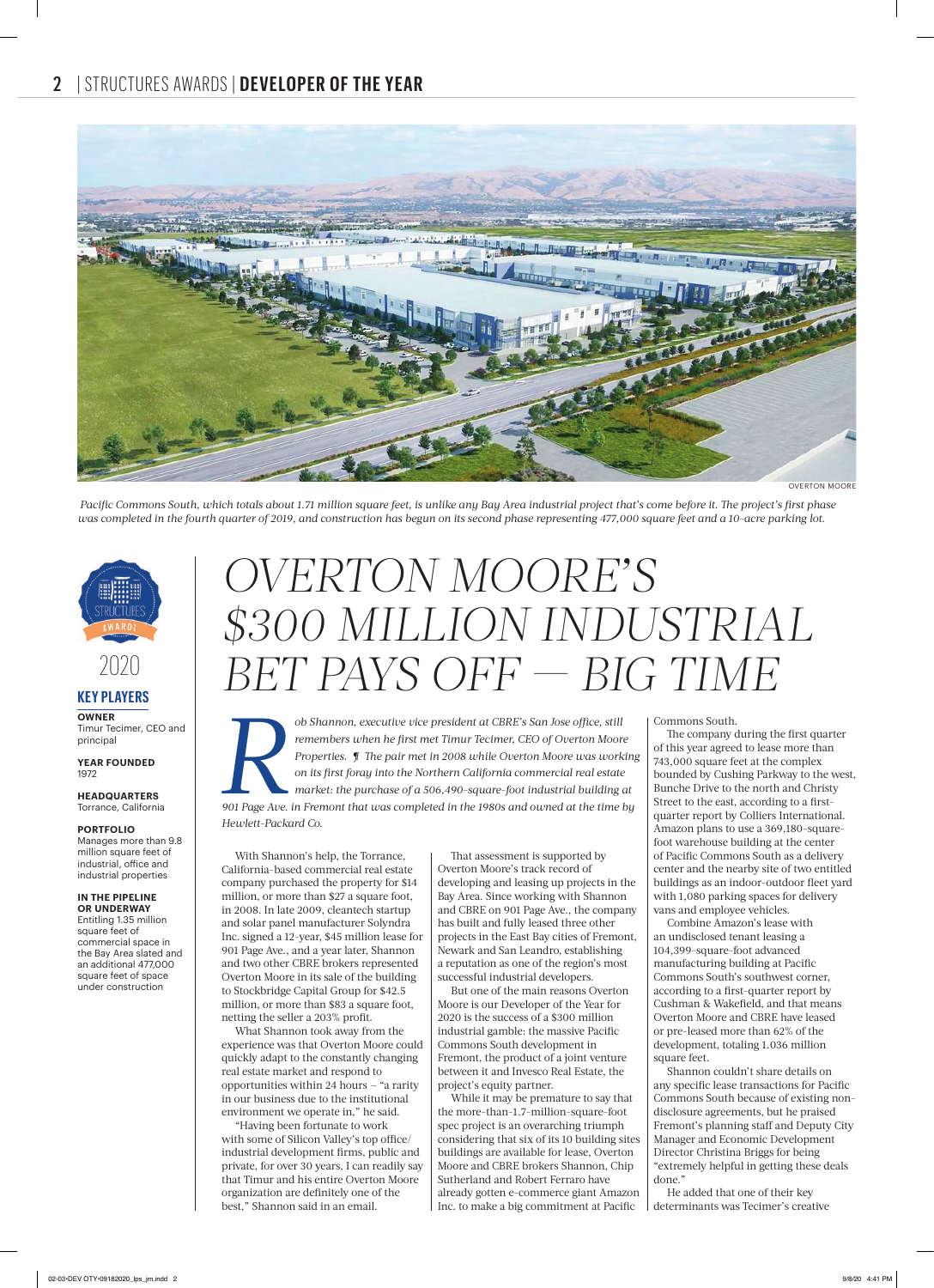

Pacific Commons South, which totals about 1.71 million square feet, is unlike any Bay Area industrial project that's come before it. The project's first phase *was completed in the fourth quarter of 2019, and construction has begun on its second phase representing 477,000 square feet and a 10-acre parking lot.*



### **KEY PLAYERS** 2020

**OWNER** Timur Tecimer, CEO and principal

**YEAR FOUNDED** 1972

**HEADQUARTERS** Torrance, California

#### **PORTFOLIO**

Manages more than 9.8 million square feet of industrial, office and industrial properties

#### **IN THE PIPELINE**

**OR UNDERWAY** Entitling 1.35 million square feet of commercial space in the Bay Area slated and an additional 477,000 square feet of space under construction

# *OVERTON MOORE'S \$300 MILLION INDUSTRIAL BET PAYS OFF BIG TIME*

*Rob Shannon, executive vice president at CBRE's San Jose office, still remembers when he first met Timur Tecimer, CEO of Overton Moore Properties.*<br> *901 Page Ave. in Fremont that was completed in the 1980s and owned at t* remembers when he first met Timur Tecimer, CEO of Overton Moore *Properties. ¶ The pair met in 2008 while Overton Moore was working on its fi rst foray into the Northern California commercial real estate market: the purchase of a 506,490-square-foot industrial building at Hewlett-Packard Co.* 

With Shannon's help, the Torrance, California-based commercial real estate company purchased the property for \$14 million, or more than \$27 a square foot, in 2008. In late 2009, cleantech startup and solar panel manufacturer Solyndra Inc. signed a 12-year, \$45 million lease for 901 Page Ave., and a year later, Shannon and two other CBRE brokers represented Overton Moore in its sale of the building to Stockbridge Capital Group for \$42.5 million, or more than \$83 a square foot, netting the seller a 203% profit.

What Shannon took away from the perience was that Overton Moore could quickly adapt to the constantly changing real estate market and respond to opportunities within 24 hours — "a rarity in our business due to the institutional environment we operate in," he said.

"Having been fortunate to work with some of Silicon Valley's top office/ industrial development firms, public and private, for over 30 years, I can readily say that Timur and his entire Overton Moore organization are definitely one of the best," Shannon said in an email.

That assessment is supported by Overton Moore's track record of developing and leasing up projects in the Bay Area. Since working with Shannon and CBRE on 901 Page Ave., the company has built and fully leased three other projects in the East Bay cities of Fremont, Newark and San Leandro, establishing a reputation as one of the region's most successful industrial developers.

But one of the main reasons Overton Moore is our Developer of the Year for 2020 is the success of a \$300 million industrial gamble: the massive Pacific Commons South development in Fremont, the product of a joint venture between it and Invesco Real Estate, the project's equity partner.

While it may be premature to say that the more-than-1.7-million-square-foot spec project is an overarching triumph considering that six of its 10 building sites buildings are available for lease, Overton Moore and CBRE brokers Shannon, Chip Sutherland and Robert Ferraro have already gotten e-commerce giant Amazon Inc. to make a big commitment at Pacific

Commons South.

The company during the first quarter of this year agreed to lease more than 743,000 square feet at the complex bounded by Cushing Parkway to the west, Bunche Drive to the north and Christy Street to the east, according to a firstquarter report by Colliers International. Amazon plans to use a 369,180-squarefoot warehouse building at the center of Pacific Commons South as a delivery center and the nearby site of two entitled buildings as an indoor-outdoor fleet yard with 1,080 parking spaces for delivery vans and employee vehicles.

Combine Amazon's lease with an undisclosed tenant leasing a 104,399-square-foot advanced manufacturing building at Pacific Commons South's southwest corner, according to a first-quarter report by Cushman & Wakefield, and that means Overton Moore and CBRE have leased or pre-leased more than 62% of the development, totaling 1.036 million square feet.

Shannon couldn't share details on any specific lease transactions for Pacific Commons South because of existing nondisclosure agreements, but he praised Fremont's planning staff and Deputy City Manager and Economic Development Director Christina Briggs for being "extremely helpful in getting these deals done."

He added that one of their key determinants was Tecimer's creative